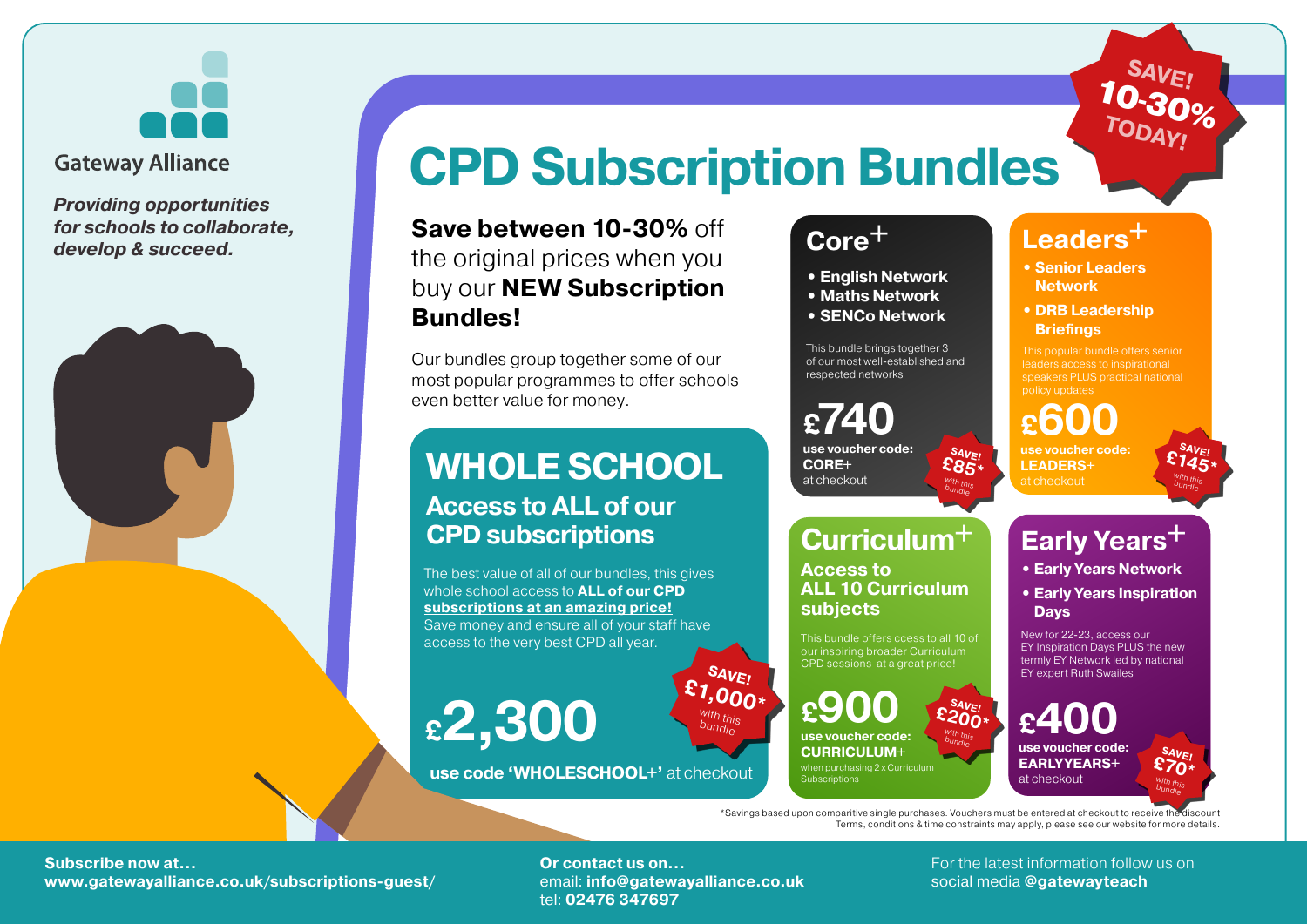

#### **Gateway Alliance**

*Providing opportunities for schools to collaborate, develop & succeed.*



## **CPD Subscription Bundles**

**SAVE! £1,000\*** with this with this<br>bundle

**Save between 10-30%** off the original prices when you buy our **NEW Subscription Bundles!**

Our bundles group together some of our most popular programmes to offer schools even better value for money.

### **WHOLE SCHOOL Access to ALL of our CPD subscriptions**

The best value of all of our bundles, this gives whole school access to **ALL of our CPD subscriptions at an amazing price!** Save money and ensure all of your staff have access to the very best CPD all year.

# **£2,300**

**use code 'WHOLESCHOOL+'** at checkout

#### **Core+ • English Network • Maths Network • SENCo Network**

This bundle brings together 3 of our most well-established and respected networks

**£740 use voucher code: CORE+** at checkout

## **Curriculum+**

**Access to ALL 10 Curriculum subjects**

This bundle offers ccess to all 10 of our inspiring broader Curriculum CPD sessions at a great price!

**£900 use voucher code: CURRICULUM+** when purchasing 2 x Curriculum Subscriptions

**Leaders+**

- **• Senior Leaders Network**
- **• DRB Leadership Briefings**

This popular bundle offers senior leaders access to inspirational speakers PLUS practical national policy updates

**£600 use voucher code: LEADERS+**

at checkout

**SAVE! £145\*** with this bundle

**SAVE!**

 $-30\%$ 

**TODAY!** 

10

### **Early Years+**

**• Early Years Network**

**• Early Years Inspiration Days**

New for 22-23, access our EY Inspiration Days PLUS the new termly EY Network led by national EY expert Ruth Swailes

**£400 use voucher code: EARLYYEARS+** at checkout

**SAVE! £70\*** With this bundle

\*Savings based upon comparitive single purchases. Vouchers must be entered at checkout to receive the discount Terms, conditions & time constraints may apply, please see our website for more details.

**SAVE! £200\*** with this bundle

**SAVE! £85\***  $\frac{with}{b}$  this bundle

**Subscribe now at… Subscribe now at… Subscribe now at the latest information follow us on www.gatewayalliance.co.uk/subscriptions-guest/ email: info@gatewayalliance.co.uk** social media @gatewayteach **bluess** 

tel: **02476 347697**